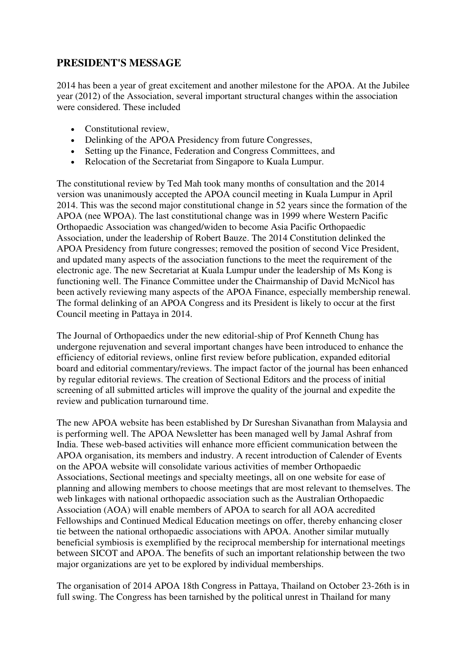## **PRESIDENT'S MESSAGE**

2014 has been a year of great excitement and another milestone for the APOA. At the Jubilee year (2012) of the Association, several important structural changes within the association were considered. These included

- Constitutional review,
- Delinking of the APOA Presidency from future Congresses,
- Setting up the Finance, Federation and Congress Committees, and
- Relocation of the Secretariat from Singapore to Kuala Lumpur.

The constitutional review by Ted Mah took many months of consultation and the 2014 version was unanimously accepted the APOA council meeting in Kuala Lumpur in April 2014. This was the second major constitutional change in 52 years since the formation of the APOA (nee WPOA). The last constitutional change was in 1999 where Western Pacific Orthopaedic Association was changed/widen to become Asia Pacific Orthopaedic Association, under the leadership of Robert Bauze. The 2014 Constitution delinked the APOA Presidency from future congresses; removed the position of second Vice President, and updated many aspects of the association functions to the meet the requirement of the electronic age. The new Secretariat at Kuala Lumpur under the leadership of Ms Kong is functioning well. The Finance Committee under the Chairmanship of David McNicol has been actively reviewing many aspects of the APOA Finance, especially membership renewal. The formal delinking of an APOA Congress and its President is likely to occur at the first Council meeting in Pattaya in 2014.

The Journal of Orthopaedics under the new editorial-ship of Prof Kenneth Chung has undergone rejuvenation and several important changes have been introduced to enhance the efficiency of editorial reviews, online first review before publication, expanded editorial board and editorial commentary/reviews. The impact factor of the journal has been enhanced by regular editorial reviews. The creation of Sectional Editors and the process of initial screening of all submitted articles will improve the quality of the journal and expedite the review and publication turnaround time.

The new APOA website has been established by Dr Sureshan Sivanathan from Malaysia and is performing well. The APOA Newsletter has been managed well by Jamal Ashraf from India. These web-based activities will enhance more efficient communication between the APOA organisation, its members and industry. A recent introduction of Calender of Events on the APOA website will consolidate various activities of member Orthopaedic Associations, Sectional meetings and specialty meetings, all on one website for ease of planning and allowing members to choose meetings that are most relevant to themselves. The web linkages with national orthopaedic association such as the Australian Orthopaedic Association (AOA) will enable members of APOA to search for all AOA accredited Fellowships and Continued Medical Education meetings on offer, thereby enhancing closer tie between the national orthopaedic associations with APOA. Another similar mutually beneficial symbiosis is exemplified by the reciprocal membership for international meetings between SICOT and APOA. The benefits of such an important relationship between the two major organizations are yet to be explored by individual memberships.

The organisation of 2014 APOA 18th Congress in Pattaya, Thailand on October 23-26th is in full swing. The Congress has been tarnished by the political unrest in Thailand for many